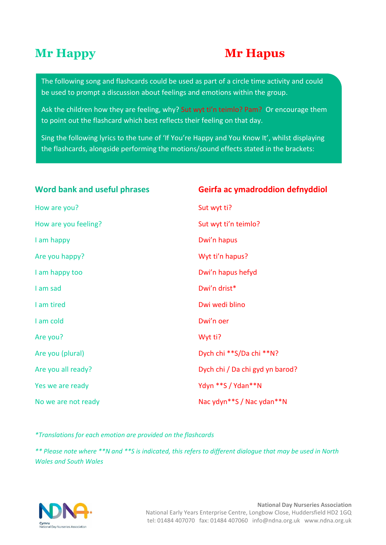#### **Mr Happy Mr Hapus**

The following song and flashcards could be used as part of a circle time activity and could be used to prompt a discussion about feelings and emotions within the group.

Ask the children how they are feeling, why? Sut wyt ti'n teimlo? Pam? Or encourage them to point out the flashcard which best reflects their feeling on that day.

Sing the following lyrics to the tune of 'If You're Happy and You Know It', whilst displaying the flashcards, alongside performing the motions/sound effects stated in the brackets:

#### Word bank and useful phrases

How are you? Sut wyt ti? How are you feeling? The summary state of the Sut wyt ti'n teimlo? I am happy **Dwi'n hapus** Are you happy? Notify the same way to the Wyt ti'n hapus? I am happy too **Dwi'n hapus hefyd** I am sad **Dwi'n drist** \* I am tired **I am tired Dwi wedi blino** I am cold Dwi'n oer Are you? Note that the same was a series of the way to ware when the way to ware when the way to ware when the ware was  $W$ Are you (plural) and the same of the Dych chi \*\*S/Da chi \*\*N? Yes we are ready Network Channel May a Yayn \*\*S / Ydan \*\* N

#### Word bank and useful phrases **Geirfa ac ymadroddion defnyddiol**

Are you all ready? **Dych chi / Da chi gyd yn barod?** Dych chi / Da chi gyd yn barod? No we are not ready Nac ydyn\*\*S / Nac ydan\*\*N

*\*Translations for each emotion are provided on the flashcards*

*\*\* Please note where \*\*N and \*\*S is indicated, this refers to different dialogue that may be used in North Wales and South Wales*

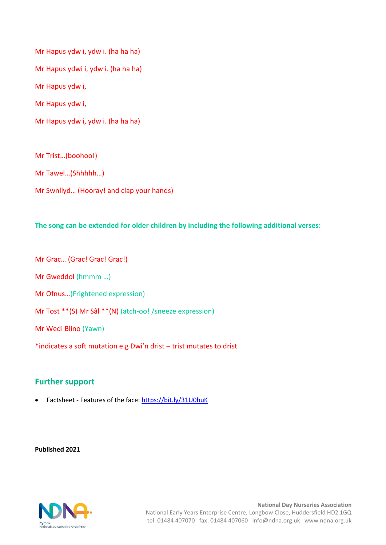Mr Hapus ydw i, ydw i. (ha ha ha) Mr Hapus ydwi i, ydw i. (ha ha ha) Mr Hapus ydw i, Mr Hapus ydw i, Mr Hapus ydw i, ydw i. (ha ha ha)

Mr Trist…(boohoo!) Mr Tawel…(Shhhhh…) Mr Swnllyd… (Hooray! and clap your hands)

**The song can be extended for older children by including the following additional verses:**

Mr Grac… (Grac! Grac! Grac!) Mr Gweddol (hmmm …) Mr Ofnus…(Frightened expression) Mr Tost \*\*(S) Mr Sâl \*\*(N) (atch-oo! /sneeze expression) Mr Wedi Blino (Yawn) \*indicates a soft mutation e.g Dwi'n drist – trist mutates to drist

#### **Further support**

Factsheet - Features of the face:<https://bit.ly/31U0huK>

**Published 2021**

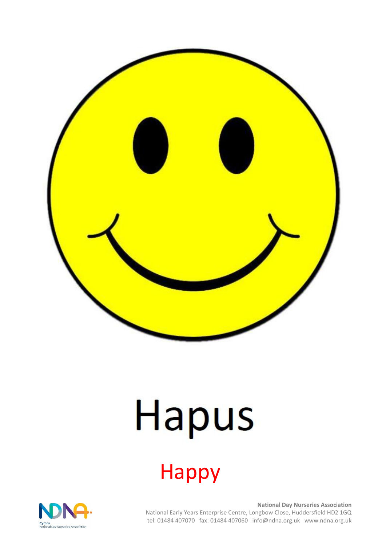

## Hapus

### Happy

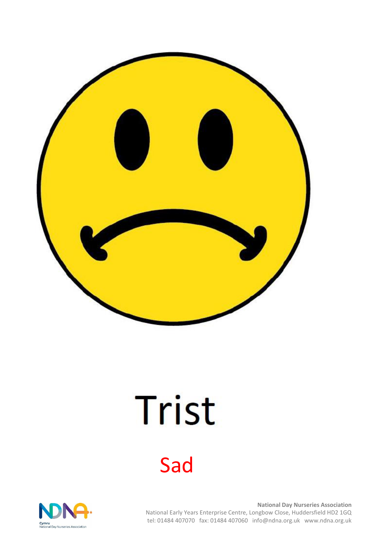

## Trist

### Sad

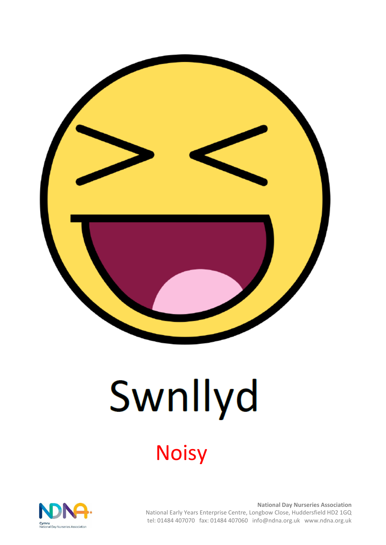

# Swnllyd

### **Noisy**

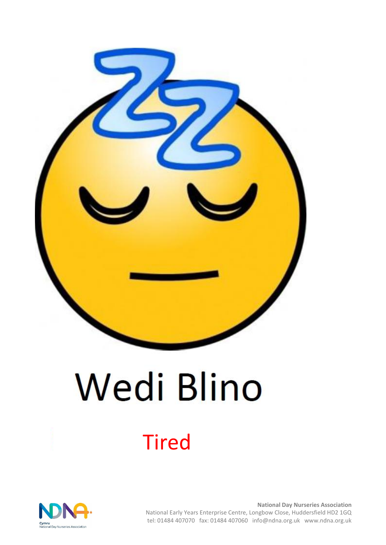

## **Wedi Blino**

### Tired

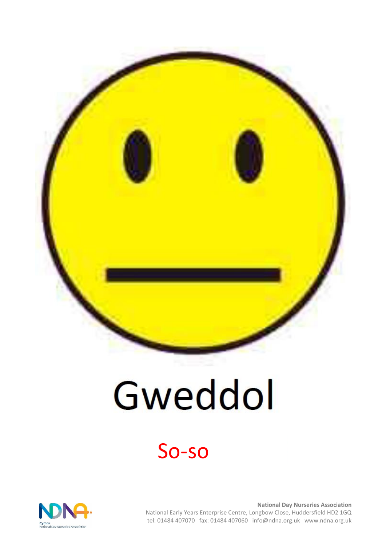

## Gweddol

### So-so

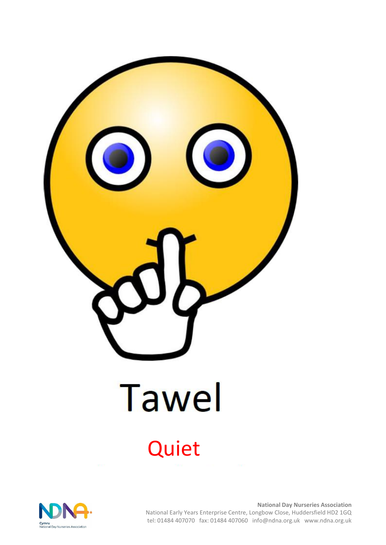

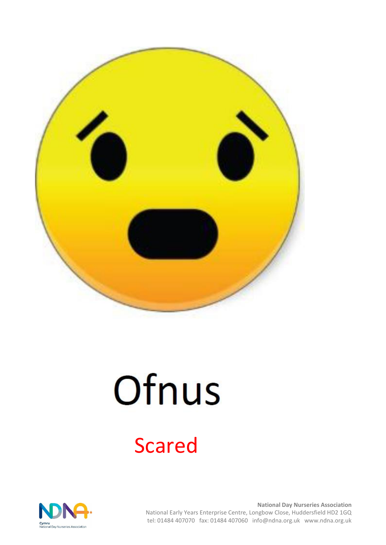

## Ofnus

### Scared